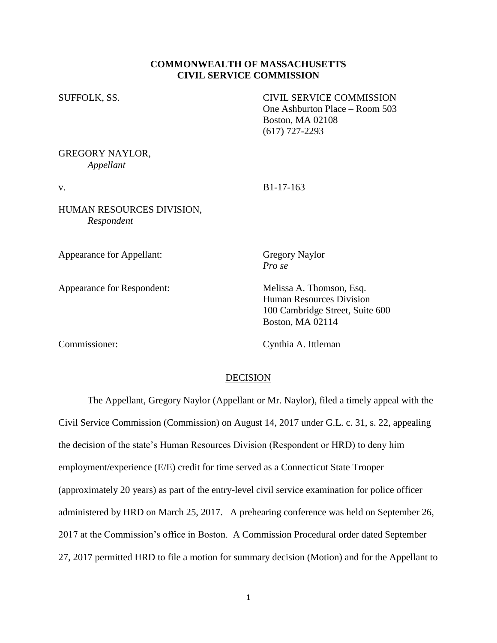## **COMMONWEALTH OF MASSACHUSETTS CIVIL SERVICE COMMISSION**

SUFFOLK, SS. CIVIL SERVICE COMMISSION One Ashburton Place – Room 503 Boston, MA 02108 (617) 727-2293

## GREGORY NAYLOR, *Appellant*

v. B1-17-163

HUMAN RESOURCES DIVISION, *Respondent*

Appearance for Appellant: Gregory Naylor

Appearance for Respondent: Melissa A. Thomson, Esq.

*Pro se*

Human Resources Division 100 Cambridge Street, Suite 600 Boston, MA 02114

Commissioner: Cynthia A. Ittleman

#### DECISION

The Appellant, Gregory Naylor (Appellant or Mr. Naylor), filed a timely appeal with the Civil Service Commission (Commission) on August 14, 2017 under G.L. c. 31, s. 22, appealing the decision of the state's Human Resources Division (Respondent or HRD) to deny him employment/experience (E/E) credit for time served as a Connecticut State Trooper (approximately 20 years) as part of the entry-level civil service examination for police officer administered by HRD on March 25, 2017. A prehearing conference was held on September 26, 2017 at the Commission's office in Boston. A Commission Procedural order dated September 27, 2017 permitted HRD to file a motion for summary decision (Motion) and for the Appellant to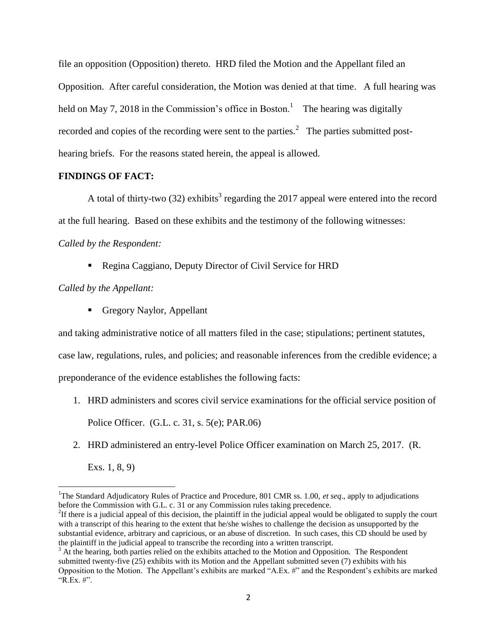file an opposition (Opposition) thereto. HRD filed the Motion and the Appellant filed an Opposition. After careful consideration, the Motion was denied at that time. A full hearing was held on May 7, 2018 in the Commission's office in Boston.<sup>1</sup> The hearing was digitally recorded and copies of the recording were sent to the parties.<sup>2</sup> The parties submitted posthearing briefs. For the reasons stated herein, the appeal is allowed.

#### **FINDINGS OF FACT:**

A total of thirty-two  $(32)$  exhibits<sup>3</sup> regarding the 2017 appeal were entered into the record at the full hearing. Based on these exhibits and the testimony of the following witnesses: *Called by the Respondent:*

• Regina Caggiano, Deputy Director of Civil Service for HRD

*Called by the Appellant:*

Gregory Naylor, Appellant

and taking administrative notice of all matters filed in the case; stipulations; pertinent statutes,

case law, regulations, rules, and policies; and reasonable inferences from the credible evidence; a

preponderance of the evidence establishes the following facts:

- 1. HRD administers and scores civil service examinations for the official service position of Police Officer. (G.L. c. 31, s. 5(e); PAR.06)
- 2. HRD administered an entry-level Police Officer examination on March 25, 2017. (R.

Exs. 1, 8, 9)

 $\overline{\phantom{a}}$ 

<sup>&</sup>lt;sup>1</sup>The Standard Adjudicatory Rules of Practice and Procedure, 801 CMR ss. 1.00, *et seq.*, apply to adjudications before the Commission with G.L. c. 31 or any Commission rules taking precedence.

 ${}^{2}$ If there is a judicial appeal of this decision, the plaintiff in the judicial appeal would be obligated to supply the court with a transcript of this hearing to the extent that he/she wishes to challenge the decision as unsupported by the substantial evidence, arbitrary and capricious, or an abuse of discretion. In such cases, this CD should be used by the plaintiff in the judicial appeal to transcribe the recording into a written transcript.

<sup>&</sup>lt;sup>3</sup> At the hearing, both parties relied on the exhibits attached to the Motion and Opposition. The Respondent submitted twenty-five (25) exhibits with its Motion and the Appellant submitted seven (7) exhibits with his Opposition to the Motion. The Appellant's exhibits are marked "A.Ex. #" and the Respondent's exhibits are marked "R.Ex. #".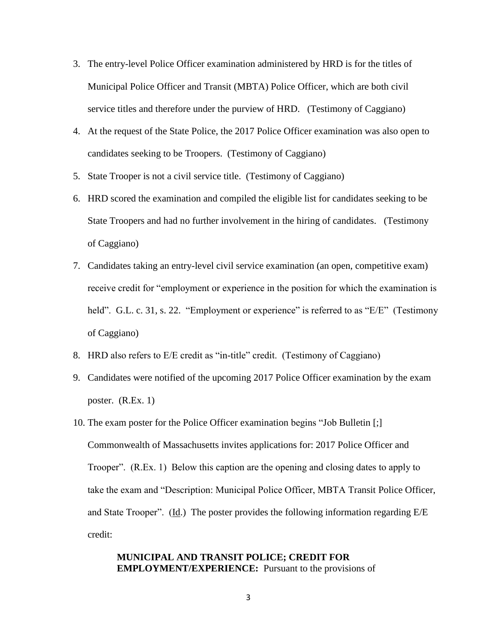- 3. The entry-level Police Officer examination administered by HRD is for the titles of Municipal Police Officer and Transit (MBTA) Police Officer, which are both civil service titles and therefore under the purview of HRD. (Testimony of Caggiano)
- 4. At the request of the State Police, the 2017 Police Officer examination was also open to candidates seeking to be Troopers. (Testimony of Caggiano)
- 5. State Trooper is not a civil service title. (Testimony of Caggiano)
- 6. HRD scored the examination and compiled the eligible list for candidates seeking to be State Troopers and had no further involvement in the hiring of candidates. (Testimony of Caggiano)
- 7. Candidates taking an entry-level civil service examination (an open, competitive exam) receive credit for "employment or experience in the position for which the examination is held". G.L. c. 31, s. 22. "Employment or experience" is referred to as "E/E" (Testimony of Caggiano)
- 8. HRD also refers to E/E credit as "in-title" credit. (Testimony of Caggiano)
- 9. Candidates were notified of the upcoming 2017 Police Officer examination by the exam poster. (R.Ex. 1)
- 10. The exam poster for the Police Officer examination begins "Job Bulletin [;] Commonwealth of Massachusetts invites applications for: 2017 Police Officer and Trooper". (R.Ex. 1) Below this caption are the opening and closing dates to apply to take the exam and "Description: Municipal Police Officer, MBTA Transit Police Officer, and State Trooper".  $(\underline{Id})$  The poster provides the following information regarding E/E credit:

## **MUNICIPAL AND TRANSIT POLICE; CREDIT FOR EMPLOYMENT/EXPERIENCE:** Pursuant to the provisions of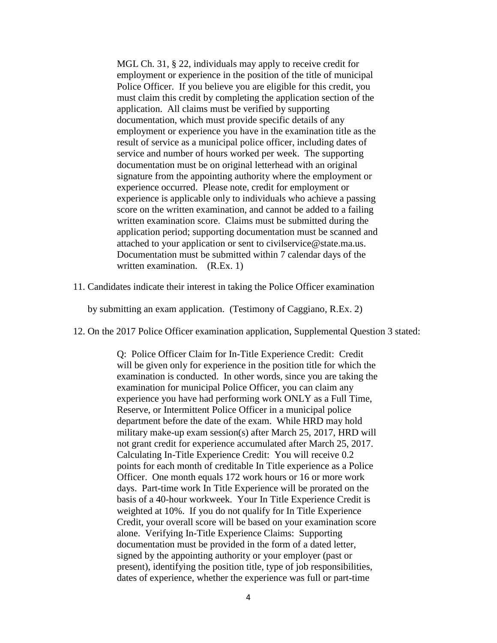MGL Ch. 31, § 22, individuals may apply to receive credit for employment or experience in the position of the title of municipal Police Officer. If you believe you are eligible for this credit, you must claim this credit by completing the application section of the application. All claims must be verified by supporting documentation, which must provide specific details of any employment or experience you have in the examination title as the result of service as a municipal police officer, including dates of service and number of hours worked per week. The supporting documentation must be on original letterhead with an original signature from the appointing authority where the employment or experience occurred. Please note, credit for employment or experience is applicable only to individuals who achieve a passing score on the written examination, and cannot be added to a failing written examination score. Claims must be submitted during the application period; supporting documentation must be scanned and attached to your application or sent to civilservice@state.ma.us. Documentation must be submitted within 7 calendar days of the written examination. (R.Ex. 1)

11. Candidates indicate their interest in taking the Police Officer examination

by submitting an exam application. (Testimony of Caggiano, R.Ex. 2)

12. On the 2017 Police Officer examination application, Supplemental Question 3 stated:

Q: Police Officer Claim for In-Title Experience Credit: Credit will be given only for experience in the position title for which the examination is conducted. In other words, since you are taking the examination for municipal Police Officer, you can claim any experience you have had performing work ONLY as a Full Time, Reserve, or Intermittent Police Officer in a municipal police department before the date of the exam. While HRD may hold military make-up exam session(s) after March 25, 2017, HRD will not grant credit for experience accumulated after March 25, 2017. Calculating In-Title Experience Credit: You will receive 0.2 points for each month of creditable In Title experience as a Police Officer. One month equals 172 work hours or 16 or more work days. Part-time work In Title Experience will be prorated on the basis of a 40-hour workweek. Your In Title Experience Credit is weighted at 10%. If you do not qualify for In Title Experience Credit, your overall score will be based on your examination score alone. Verifying In-Title Experience Claims: Supporting documentation must be provided in the form of a dated letter, signed by the appointing authority or your employer (past or present), identifying the position title, type of job responsibilities, dates of experience, whether the experience was full or part-time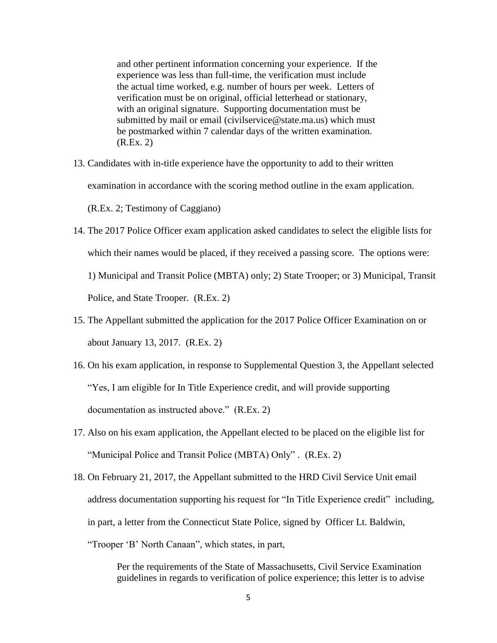and other pertinent information concerning your experience. If the experience was less than full-time, the verification must include the actual time worked, e.g. number of hours per week. Letters of verification must be on original, official letterhead or stationary, with an original signature. Supporting documentation must be submitted by mail or email (civilservice@state.ma.us) which must be postmarked within 7 calendar days of the written examination. (R.Ex. 2)

- 13. Candidates with in-title experience have the opportunity to add to their written examination in accordance with the scoring method outline in the exam application. (R.Ex. 2; Testimony of Caggiano)
- 14. The 2017 Police Officer exam application asked candidates to select the eligible lists for which their names would be placed, if they received a passing score. The options were: 1) Municipal and Transit Police (MBTA) only; 2) State Trooper; or 3) Municipal, Transit Police, and State Trooper. (R.Ex. 2)
- 15. The Appellant submitted the application for the 2017 Police Officer Examination on or about January 13, 2017. (R.Ex. 2)
- 16. On his exam application, in response to Supplemental Question 3, the Appellant selected "Yes, I am eligible for In Title Experience credit, and will provide supporting documentation as instructed above." (R.Ex. 2)
- 17. Also on his exam application, the Appellant elected to be placed on the eligible list for "Municipal Police and Transit Police (MBTA) Only" . (R.Ex. 2)
- 18. On February 21, 2017, the Appellant submitted to the HRD Civil Service Unit email address documentation supporting his request for "In Title Experience credit" including, in part, a letter from the Connecticut State Police, signed by Officer Lt. Baldwin,

"Trooper 'B' North Canaan", which states, in part,

Per the requirements of the State of Massachusetts, Civil Service Examination guidelines in regards to verification of police experience; this letter is to advise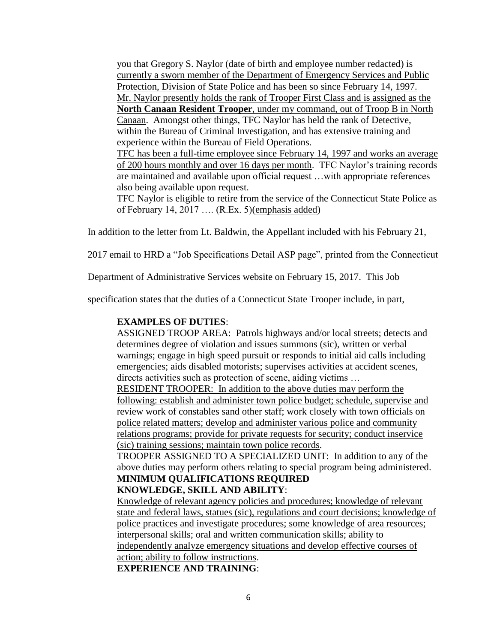you that Gregory S. Naylor (date of birth and employee number redacted) is currently a sworn member of the Department of Emergency Services and Public Protection, Division of State Police and has been so since February 14, 1997. Mr. Naylor presently holds the rank of Trooper First Class and is assigned as the **North Canaan Resident Trooper**, under my command, out of Troop B in North Canaan. Amongst other things, TFC Naylor has held the rank of Detective, within the Bureau of Criminal Investigation, and has extensive training and experience within the Bureau of Field Operations.

TFC has been a full-time employee since February 14, 1997 and works an average of 200 hours monthly and over 16 days per month. TFC Naylor's training records are maintained and available upon official request …with appropriate references also being available upon request.

TFC Naylor is eligible to retire from the service of the Connecticut State Police as of February 14, 2017 …. (R.Ex. 5)(emphasis added)

In addition to the letter from Lt. Baldwin, the Appellant included with his February 21,

2017 email to HRD a "Job Specifications Detail ASP page", printed from the Connecticut

Department of Administrative Services website on February 15, 2017. This Job

specification states that the duties of a Connecticut State Trooper include, in part,

#### **EXAMPLES OF DUTIES**:

ASSIGNED TROOP AREA: Patrols highways and/or local streets; detects and determines degree of violation and issues summons (sic), written or verbal warnings; engage in high speed pursuit or responds to initial aid calls including emergencies; aids disabled motorists; supervises activities at accident scenes, directs activities such as protection of scene, aiding victims …

RESIDENT TROOPER: In addition to the above duties may perform the following: establish and administer town police budget; schedule, supervise and review work of constables sand other staff; work closely with town officials on police related matters; develop and administer various police and community relations programs; provide for private requests for security; conduct inservice (sic) training sessions; maintain town police records*.*

TROOPER ASSIGNED TO A SPECIALIZED UNIT: In addition to any of the above duties may perform others relating to special program being administered. **MINIMUM QUALIFICATIONS REQUIRED**

# **KNOWLEDGE, SKILL AND ABILITY**:

Knowledge of relevant agency policies and procedures; knowledge of relevant state and federal laws, statues (sic), regulations and court decisions; knowledge of police practices and investigate procedures; some knowledge of area resources; interpersonal skills; oral and written communication skills; ability to independently analyze emergency situations and develop effective courses of action; ability to follow instructions.

**EXPERIENCE AND TRAINING**: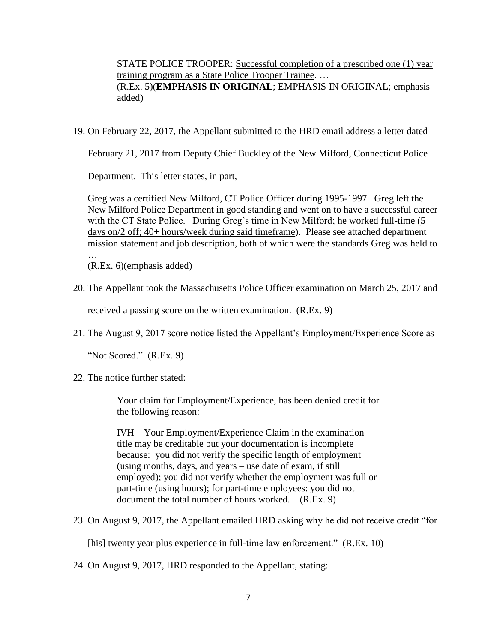STATE POLICE TROOPER: Successful completion of a prescribed one (1) year training program as a State Police Trooper Trainee. … (R.Ex. 5)(**EMPHASIS IN ORIGINAL**; EMPHASIS IN ORIGINAL; emphasis added)

19. On February 22, 2017, the Appellant submitted to the HRD email address a letter dated

February 21, 2017 from Deputy Chief Buckley of the New Milford, Connecticut Police

Department. This letter states, in part,

Greg was a certified New Milford, CT Police Officer during 1995-1997. Greg left the New Milford Police Department in good standing and went on to have a successful career with the CT State Police. During Greg's time in New Milford; he worked full-time (5 days on/2 off; 40+ hours/week during said timeframe). Please see attached department mission statement and job description, both of which were the standards Greg was held to …

(R.Ex. 6)(emphasis added)

20. The Appellant took the Massachusetts Police Officer examination on March 25, 2017 and

received a passing score on the written examination. (R.Ex. 9)

21. The August 9, 2017 score notice listed the Appellant's Employment/Experience Score as

"Not Scored." (R.Ex. 9)

22. The notice further stated:

Your claim for Employment/Experience, has been denied credit for the following reason:

IVH – Your Employment/Experience Claim in the examination title may be creditable but your documentation is incomplete because: you did not verify the specific length of employment (using months, days, and years – use date of exam, if still employed); you did not verify whether the employment was full or part-time (using hours); for part-time employees: you did not document the total number of hours worked. (R.Ex. 9)

23. On August 9, 2017, the Appellant emailed HRD asking why he did not receive credit "for

[his] twenty year plus experience in full-time law enforcement." (R.Ex. 10)

24. On August 9, 2017, HRD responded to the Appellant, stating: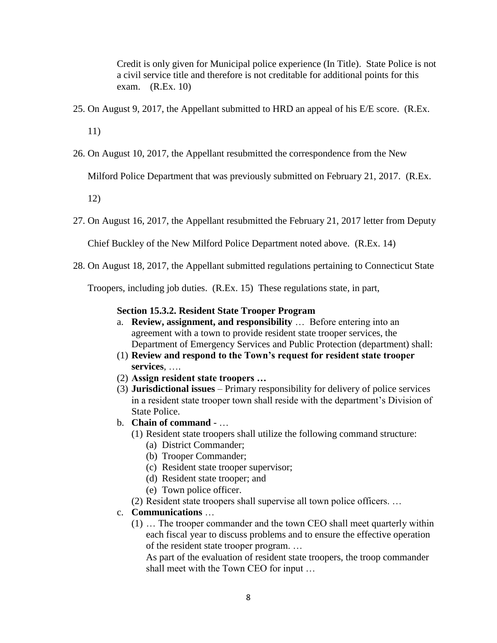Credit is only given for Municipal police experience (In Title). State Police is not a civil service title and therefore is not creditable for additional points for this exam. (R.Ex. 10)

25. On August 9, 2017, the Appellant submitted to HRD an appeal of his E/E score. (R.Ex.

11)

26. On August 10, 2017, the Appellant resubmitted the correspondence from the New

Milford Police Department that was previously submitted on February 21, 2017. (R.Ex.

12)

27. On August 16, 2017, the Appellant resubmitted the February 21, 2017 letter from Deputy

Chief Buckley of the New Milford Police Department noted above. (R.Ex. 14)

28. On August 18, 2017, the Appellant submitted regulations pertaining to Connecticut State

Troopers, including job duties. (R.Ex. 15) These regulations state, in part,

## **Section 15.3.2. Resident State Trooper Program**

- a. **Review, assignment, and responsibility** … Before entering into an agreement with a town to provide resident state trooper services, the Department of Emergency Services and Public Protection (department) shall:
- (1) **Review and respond to the Town's request for resident state trooper services**, ….
- (2) **Assign resident state troopers …**
- (3) **Jurisdictional issues** Primary responsibility for delivery of police services in a resident state trooper town shall reside with the department's Division of State Police.
- b. **Chain of command** …
	- (1) Resident state troopers shall utilize the following command structure:
		- (a) District Commander;
		- (b) Trooper Commander;
		- (c) Resident state trooper supervisor;
		- (d) Resident state trooper; and
		- (e) Town police officer.
	- (2) Resident state troopers shall supervise all town police officers. …

## c. **Communications** …

(1) … The trooper commander and the town CEO shall meet quarterly within each fiscal year to discuss problems and to ensure the effective operation of the resident state trooper program. …

As part of the evaluation of resident state troopers, the troop commander shall meet with the Town CEO for input …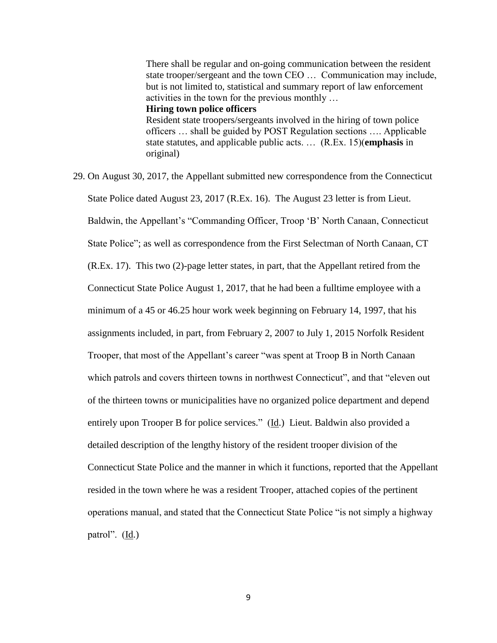There shall be regular and on-going communication between the resident state trooper/sergeant and the town CEO … Communication may include, but is not limited to, statistical and summary report of law enforcement activities in the town for the previous monthly … **Hiring town police officers** Resident state troopers/sergeants involved in the hiring of town police officers … shall be guided by POST Regulation sections …. Applicable state statutes, and applicable public acts. … (R.Ex. 15)(**emphasis** in original)

29. On August 30, 2017, the Appellant submitted new correspondence from the Connecticut State Police dated August 23, 2017 (R.Ex. 16). The August 23 letter is from Lieut. Baldwin, the Appellant's "Commanding Officer, Troop 'B' North Canaan, Connecticut State Police"; as well as correspondence from the First Selectman of North Canaan, CT (R.Ex. 17). This two (2)-page letter states, in part, that the Appellant retired from the Connecticut State Police August 1, 2017, that he had been a fulltime employee with a minimum of a 45 or 46.25 hour work week beginning on February 14, 1997, that his assignments included, in part, from February 2, 2007 to July 1, 2015 Norfolk Resident Trooper, that most of the Appellant's career "was spent at Troop B in North Canaan which patrols and covers thirteen towns in northwest Connecticut", and that "eleven out of the thirteen towns or municipalities have no organized police department and depend entirely upon Trooper B for police services." (Id.) Lieut. Baldwin also provided a detailed description of the lengthy history of the resident trooper division of the Connecticut State Police and the manner in which it functions, reported that the Appellant resided in the town where he was a resident Trooper, attached copies of the pertinent operations manual, and stated that the Connecticut State Police "is not simply a highway patrol". (Id.)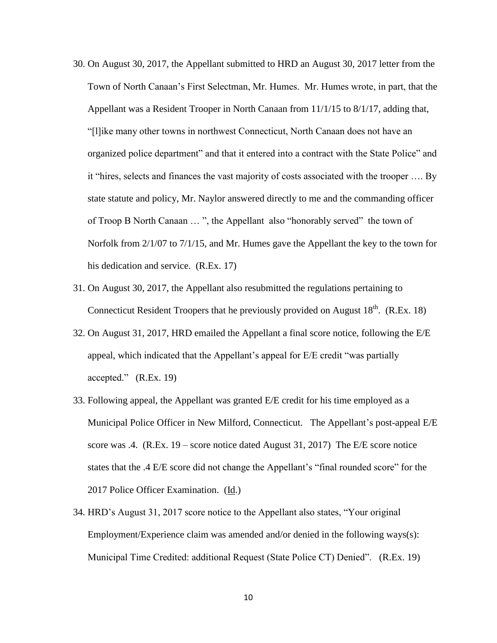- 30. On August 30, 2017, the Appellant submitted to HRD an August 30, 2017 letter from the Town of North Canaan's First Selectman, Mr. Humes. Mr. Humes wrote, in part, that the Appellant was a Resident Trooper in North Canaan from 11/1/15 to 8/1/17, adding that, "[l]ike many other towns in northwest Connecticut, North Canaan does not have an organized police department" and that it entered into a contract with the State Police" and it "hires, selects and finances the vast majority of costs associated with the trooper …. By state statute and policy, Mr. Naylor answered directly to me and the commanding officer of Troop B North Canaan … ", the Appellant also "honorably served" the town of Norfolk from 2/1/07 to 7/1/15, and Mr. Humes gave the Appellant the key to the town for his dedication and service. (R.Ex. 17)
- 31. On August 30, 2017, the Appellant also resubmitted the regulations pertaining to Connecticut Resident Troopers that he previously provided on August  $18<sup>th</sup>$ . (R.Ex. 18)
- 32. On August 31, 2017, HRD emailed the Appellant a final score notice, following the E/E appeal, which indicated that the Appellant's appeal for E/E credit "was partially accepted." (R.Ex. 19)
- 33. Following appeal, the Appellant was granted E/E credit for his time employed as a Municipal Police Officer in New Milford, Connecticut. The Appellant's post-appeal E/E score was .4. (R.Ex. 19 – score notice dated August 31, 2017) The E/E score notice states that the .4 E/E score did not change the Appellant's "final rounded score" for the 2017 Police Officer Examination. (Id.)
- 34. HRD's August 31, 2017 score notice to the Appellant also states, "Your original Employment/Experience claim was amended and/or denied in the following ways(s): Municipal Time Credited: additional Request (State Police CT) Denied". (R.Ex. 19)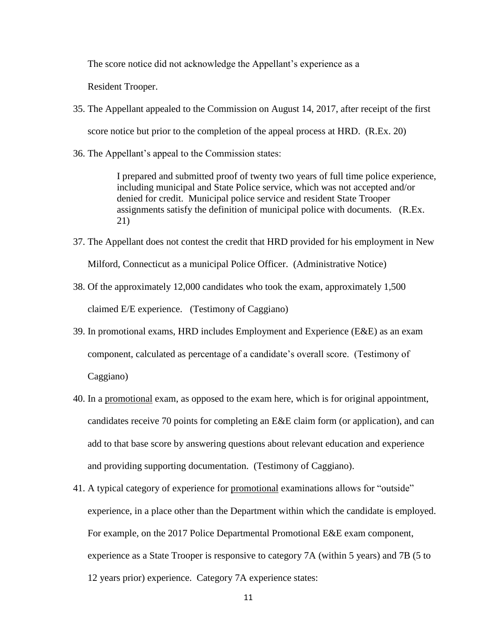The score notice did not acknowledge the Appellant's experience as a

Resident Trooper.

- 35. The Appellant appealed to the Commission on August 14, 2017, after receipt of the first score notice but prior to the completion of the appeal process at HRD. (R.Ex. 20)
- 36. The Appellant's appeal to the Commission states:

I prepared and submitted proof of twenty two years of full time police experience, including municipal and State Police service, which was not accepted and/or denied for credit. Municipal police service and resident State Trooper assignments satisfy the definition of municipal police with documents. (R.Ex. 21)

- 37. The Appellant does not contest the credit that HRD provided for his employment in New Milford, Connecticut as a municipal Police Officer. (Administrative Notice)
- 38. Of the approximately 12,000 candidates who took the exam, approximately 1,500 claimed E/E experience. (Testimony of Caggiano)
- 39. In promotional exams, HRD includes Employment and Experience (E&E) as an exam component, calculated as percentage of a candidate's overall score. (Testimony of Caggiano)
- 40. In a promotional exam, as opposed to the exam here, which is for original appointment, candidates receive 70 points for completing an E&E claim form (or application), and can add to that base score by answering questions about relevant education and experience and providing supporting documentation. (Testimony of Caggiano).
- 41. A typical category of experience for promotional examinations allows for "outside" experience, in a place other than the Department within which the candidate is employed. For example, on the 2017 Police Departmental Promotional E&E exam component, experience as a State Trooper is responsive to category 7A (within 5 years) and 7B (5 to 12 years prior) experience. Category 7A experience states: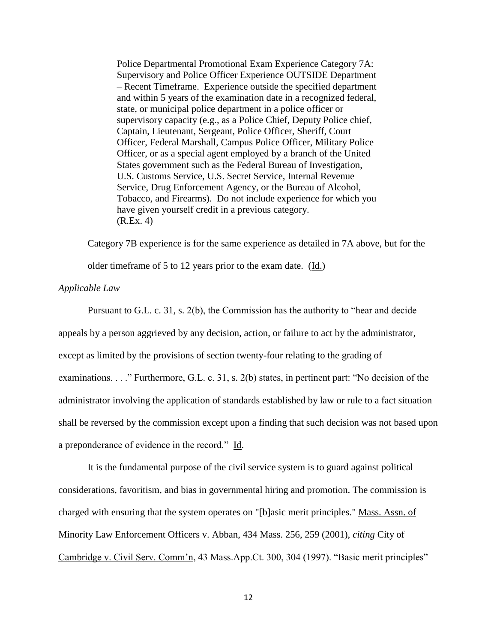Police Departmental Promotional Exam Experience Category 7A: Supervisory and Police Officer Experience OUTSIDE Department – Recent Timeframe. Experience outside the specified department and within 5 years of the examination date in a recognized federal, state, or municipal police department in a police officer or supervisory capacity (e.g., as a Police Chief, Deputy Police chief, Captain, Lieutenant, Sergeant, Police Officer, Sheriff, Court Officer, Federal Marshall, Campus Police Officer, Military Police Officer, or as a special agent employed by a branch of the United States government such as the Federal Bureau of Investigation, U.S. Customs Service, U.S. Secret Service, Internal Revenue Service, Drug Enforcement Agency, or the Bureau of Alcohol, Tobacco, and Firearms). Do not include experience for which you have given yourself credit in a previous category. (R.Ex. 4)

Category 7B experience is for the same experience as detailed in 7A above, but for the

older timeframe of 5 to 12 years prior to the exam date. (Id.)

## *Applicable Law*

Pursuant to G.L. c. 31, s. 2(b), the Commission has the authority to "hear and decide appeals by a person aggrieved by any decision, action, or failure to act by the administrator, except as limited by the provisions of section twenty-four relating to the grading of examinations. . . ." Furthermore, G.L. c. 31, s. 2(b) states, in pertinent part: "No decision of the administrator involving the application of standards established by law or rule to a fact situation shall be reversed by the commission except upon a finding that such decision was not based upon a preponderance of evidence in the record." Id.

It is the fundamental purpose of the civil service system is to guard against political considerations, favoritism, and bias in governmental hiring and promotion. The commission is charged with ensuring that the system operates on "[b]asic merit principles." Mass. Assn. of Minority Law Enforcement Officers v. Abban, 434 Mass. 256, 259 (2001), *citing* City of Cambridge v. Civil Serv. Comm'n, 43 Mass.App.Ct. 300, 304 (1997). "Basic merit principles"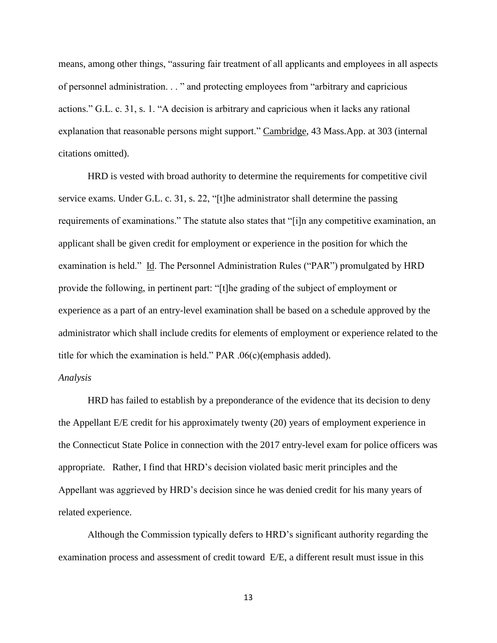means, among other things, "assuring fair treatment of all applicants and employees in all aspects of personnel administration. . . " and protecting employees from "arbitrary and capricious actions." G.L. c. 31, s. 1. "A decision is arbitrary and capricious when it lacks any rational explanation that reasonable persons might support." Cambridge, 43 Mass.App. at 303 (internal citations omitted).

HRD is vested with broad authority to determine the requirements for competitive civil service exams. Under G.L. c. 31, s. 22, "[t]he administrator shall determine the passing requirements of examinations." The statute also states that "[i]n any competitive examination, an applicant shall be given credit for employment or experience in the position for which the examination is held." Id. The Personnel Administration Rules ("PAR") promulgated by HRD provide the following, in pertinent part: "[t]he grading of the subject of employment or experience as a part of an entry-level examination shall be based on a schedule approved by the administrator which shall include credits for elements of employment or experience related to the title for which the examination is held." PAR .06(c)(emphasis added).

## *Analysis*

HRD has failed to establish by a preponderance of the evidence that its decision to deny the Appellant E/E credit for his approximately twenty (20) years of employment experience in the Connecticut State Police in connection with the 2017 entry-level exam for police officers was appropriate. Rather, I find that HRD's decision violated basic merit principles and the Appellant was aggrieved by HRD's decision since he was denied credit for his many years of related experience.

Although the Commission typically defers to HRD's significant authority regarding the examination process and assessment of credit toward E/E, a different result must issue in this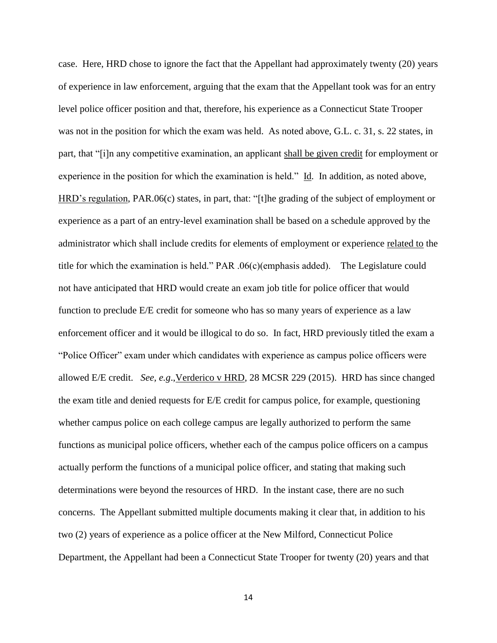case. Here, HRD chose to ignore the fact that the Appellant had approximately twenty (20) years of experience in law enforcement, arguing that the exam that the Appellant took was for an entry level police officer position and that, therefore, his experience as a Connecticut State Trooper was not in the position for which the exam was held. As noted above, G.L. c. 31, s. 22 states, in part, that "[i]n any competitive examination, an applicant shall be given credit for employment or experience in the position for which the examination is held." Id. In addition, as noted above, HRD's regulation, PAR.06(c) states, in part, that: "[t]he grading of the subject of employment or experience as a part of an entry-level examination shall be based on a schedule approved by the administrator which shall include credits for elements of employment or experience related to the title for which the examination is held." PAR .06(c)(emphasis added). The Legislature could not have anticipated that HRD would create an exam job title for police officer that would function to preclude E/E credit for someone who has so many years of experience as a law enforcement officer and it would be illogical to do so. In fact, HRD previously titled the exam a "Police Officer" exam under which candidates with experience as campus police officers were allowed E/E credit. *See, e.g*.,Verderico v HRD, 28 MCSR 229 (2015). HRD has since changed the exam title and denied requests for E/E credit for campus police, for example, questioning whether campus police on each college campus are legally authorized to perform the same functions as municipal police officers, whether each of the campus police officers on a campus actually perform the functions of a municipal police officer, and stating that making such determinations were beyond the resources of HRD. In the instant case, there are no such concerns. The Appellant submitted multiple documents making it clear that, in addition to his two (2) years of experience as a police officer at the New Milford, Connecticut Police Department, the Appellant had been a Connecticut State Trooper for twenty (20) years and that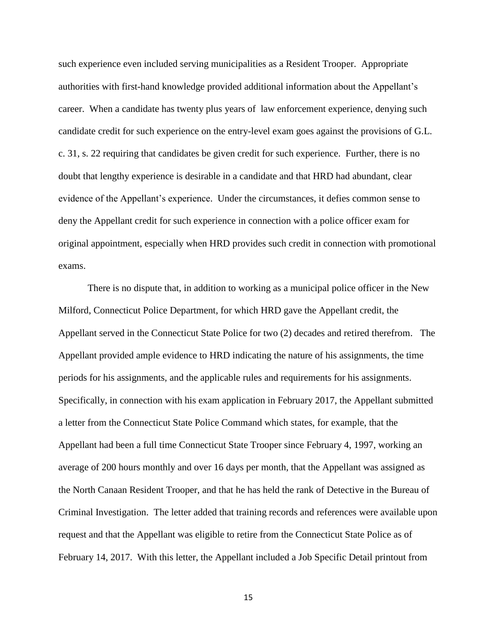such experience even included serving municipalities as a Resident Trooper. Appropriate authorities with first-hand knowledge provided additional information about the Appellant's career. When a candidate has twenty plus years of law enforcement experience, denying such candidate credit for such experience on the entry-level exam goes against the provisions of G.L. c. 31, s. 22 requiring that candidates be given credit for such experience. Further, there is no doubt that lengthy experience is desirable in a candidate and that HRD had abundant, clear evidence of the Appellant's experience. Under the circumstances, it defies common sense to deny the Appellant credit for such experience in connection with a police officer exam for original appointment, especially when HRD provides such credit in connection with promotional exams.

There is no dispute that, in addition to working as a municipal police officer in the New Milford, Connecticut Police Department, for which HRD gave the Appellant credit, the Appellant served in the Connecticut State Police for two (2) decades and retired therefrom. The Appellant provided ample evidence to HRD indicating the nature of his assignments, the time periods for his assignments, and the applicable rules and requirements for his assignments. Specifically, in connection with his exam application in February 2017, the Appellant submitted a letter from the Connecticut State Police Command which states, for example, that the Appellant had been a full time Connecticut State Trooper since February 4, 1997, working an average of 200 hours monthly and over 16 days per month, that the Appellant was assigned as the North Canaan Resident Trooper, and that he has held the rank of Detective in the Bureau of Criminal Investigation. The letter added that training records and references were available upon request and that the Appellant was eligible to retire from the Connecticut State Police as of February 14, 2017. With this letter, the Appellant included a Job Specific Detail printout from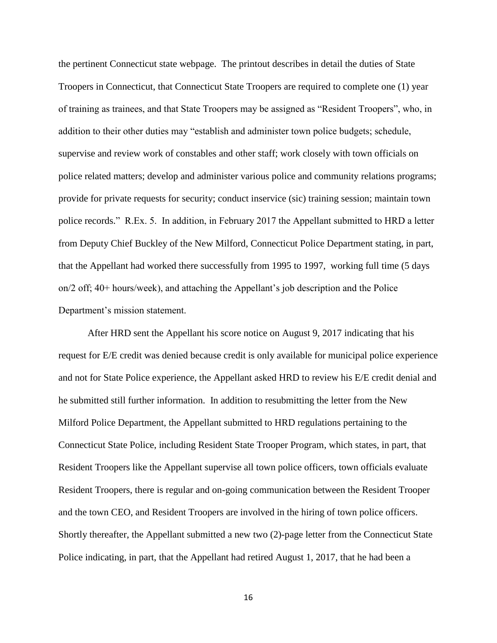the pertinent Connecticut state webpage. The printout describes in detail the duties of State Troopers in Connecticut, that Connecticut State Troopers are required to complete one (1) year of training as trainees, and that State Troopers may be assigned as "Resident Troopers", who, in addition to their other duties may "establish and administer town police budgets; schedule, supervise and review work of constables and other staff; work closely with town officials on police related matters; develop and administer various police and community relations programs; provide for private requests for security; conduct inservice (sic) training session; maintain town police records." R.Ex. 5. In addition, in February 2017 the Appellant submitted to HRD a letter from Deputy Chief Buckley of the New Milford, Connecticut Police Department stating, in part, that the Appellant had worked there successfully from 1995 to 1997, working full time (5 days on/2 off; 40+ hours/week), and attaching the Appellant's job description and the Police Department's mission statement.

After HRD sent the Appellant his score notice on August 9, 2017 indicating that his request for E/E credit was denied because credit is only available for municipal police experience and not for State Police experience, the Appellant asked HRD to review his E/E credit denial and he submitted still further information. In addition to resubmitting the letter from the New Milford Police Department, the Appellant submitted to HRD regulations pertaining to the Connecticut State Police, including Resident State Trooper Program, which states, in part, that Resident Troopers like the Appellant supervise all town police officers, town officials evaluate Resident Troopers, there is regular and on-going communication between the Resident Trooper and the town CEO, and Resident Troopers are involved in the hiring of town police officers. Shortly thereafter, the Appellant submitted a new two (2)-page letter from the Connecticut State Police indicating, in part, that the Appellant had retired August 1, 2017, that he had been a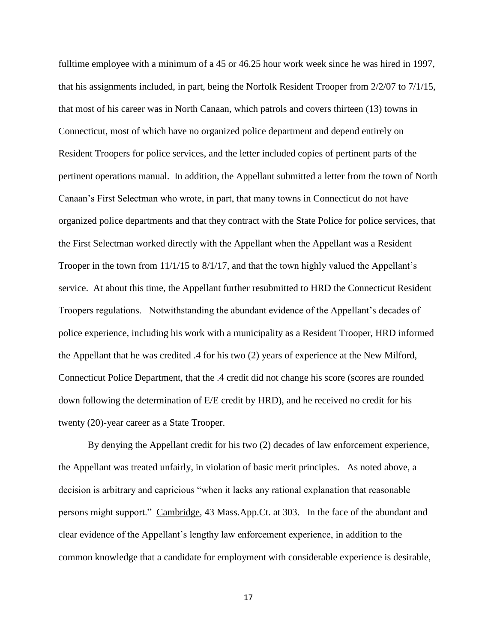fulltime employee with a minimum of a 45 or 46.25 hour work week since he was hired in 1997, that his assignments included, in part, being the Norfolk Resident Trooper from 2/2/07 to 7/1/15, that most of his career was in North Canaan, which patrols and covers thirteen (13) towns in Connecticut, most of which have no organized police department and depend entirely on Resident Troopers for police services, and the letter included copies of pertinent parts of the pertinent operations manual. In addition, the Appellant submitted a letter from the town of North Canaan's First Selectman who wrote, in part, that many towns in Connecticut do not have organized police departments and that they contract with the State Police for police services, that the First Selectman worked directly with the Appellant when the Appellant was a Resident Trooper in the town from 11/1/15 to 8/1/17, and that the town highly valued the Appellant's service. At about this time, the Appellant further resubmitted to HRD the Connecticut Resident Troopers regulations. Notwithstanding the abundant evidence of the Appellant's decades of police experience, including his work with a municipality as a Resident Trooper, HRD informed the Appellant that he was credited .4 for his two (2) years of experience at the New Milford, Connecticut Police Department, that the .4 credit did not change his score (scores are rounded down following the determination of E/E credit by HRD), and he received no credit for his twenty (20)-year career as a State Trooper.

By denying the Appellant credit for his two (2) decades of law enforcement experience, the Appellant was treated unfairly, in violation of basic merit principles. As noted above, a decision is arbitrary and capricious "when it lacks any rational explanation that reasonable persons might support." Cambridge, 43 Mass.App.Ct. at 303. In the face of the abundant and clear evidence of the Appellant's lengthy law enforcement experience, in addition to the common knowledge that a candidate for employment with considerable experience is desirable,